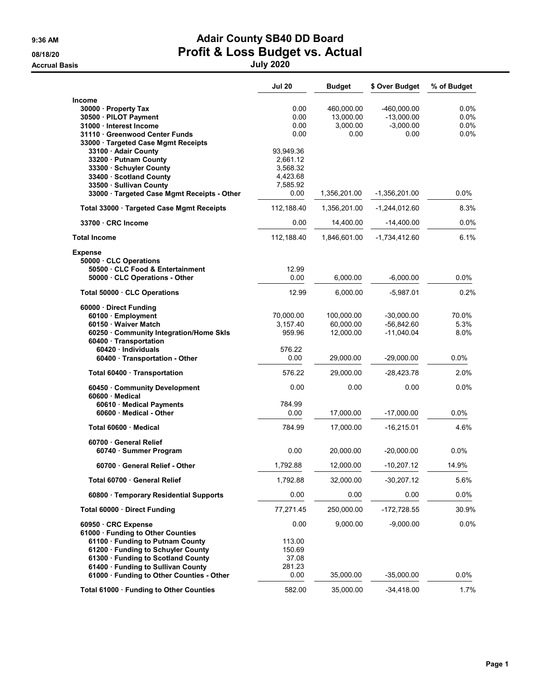#### 9:36 AM **Adair County SB40 DD Board** 08/18/20 **Profit & Loss Budget vs. Actual**

Accrual Basis July 2020

|                                                            | <b>Jul 20</b> | <b>Budget</b> | \$ Over Budget  | % of Budget |
|------------------------------------------------------------|---------------|---------------|-----------------|-------------|
| <b>Income</b>                                              |               |               |                 |             |
| 30000 · Property Tax                                       | 0.00          | 460,000.00    | -460,000.00     | 0.0%        |
| 30500 · PILOT Payment                                      | 0.00          | 13,000.00     | $-13,000.00$    | $0.0\%$     |
| 31000 · Interest Income                                    | 0.00          | 3,000.00      | $-3,000.00$     | 0.0%        |
| 31110 Greenwood Center Funds                               | 0.00          | 0.00          | 0.00            | 0.0%        |
| 33000 · Targeted Case Mgmt Receipts                        |               |               |                 |             |
| 33100 · Adair County                                       | 93,949.36     |               |                 |             |
| 33200 · Putnam County                                      | 2,661.12      |               |                 |             |
| 33300 · Schuyler County                                    | 3,568.32      |               |                 |             |
| 33400 · Scotland County                                    | 4,423.68      |               |                 |             |
| 33500 · Sullivan County                                    | 7,585.92      |               |                 |             |
| 33000 · Targeted Case Mgmt Receipts - Other                | 0.00          | 1,356,201.00  | $-1,356,201.00$ | $0.0\%$     |
| Total 33000 · Targeted Case Mgmt Receipts                  | 112,188.40    | 1,356,201.00  | -1,244,012.60   | 8.3%        |
| 33700 CRC Income                                           | 0.00          | 14,400.00     | $-14,400.00$    | 0.0%        |
| <b>Total Income</b>                                        | 112,188.40    | 1,846,601.00  | $-1,734,412.60$ | 6.1%        |
| <b>Expense</b>                                             |               |               |                 |             |
| 50000 · CLC Operations<br>50500 · CLC Food & Entertainment | 12.99         |               |                 |             |
| 50000 CLC Operations - Other                               | 0.00          | 6,000.00      | $-6,000.00$     | $0.0\%$     |
|                                                            |               |               |                 |             |
| Total 50000 CLC Operations                                 | 12.99         | 6,000.00      | $-5,987.01$     | 0.2%        |
| 60000 · Direct Funding                                     |               |               |                 |             |
| 60100 · Employment                                         | 70,000.00     | 100,000.00    | $-30,000.00$    | 70.0%       |
| 60150 · Waiver Match                                       | 3,157.40      | 60,000.00     | $-56,842.60$    | 5.3%        |
| 60250 Community Integration/Home Skls                      | 959.96        | 12,000.00     | $-11,040.04$    | 8.0%        |
| 60400 · Transportation                                     |               |               |                 |             |
| 60420 · Individuals                                        | 576.22        |               |                 |             |
| 60400 · Transportation - Other                             | 0.00          | 29,000.00     | $-29,000.00$    | $0.0\%$     |
| Total 60400 Transportation                                 | 576.22        | 29,000.00     | $-28,423.78$    | 2.0%        |
| 60450 Community Development<br>60600 Medical               | 0.00          | 0.00          | 0.00            | 0.0%        |
| 60610 · Medical Payments                                   | 784.99        |               |                 |             |
| 60600 Medical - Other                                      | 0.00          | 17,000.00     | $-17,000.00$    | 0.0%        |
|                                                            |               |               |                 |             |
| Total 60600 Medical                                        | 784.99        | 17,000.00     | $-16,215.01$    | 4.6%        |
| 60700 General Relief<br>60740 · Summer Program             | 0.00          | 20,000.00     | $-20,000.00$    | 0.0%        |
|                                                            | 1,792.88      | 12,000.00     |                 |             |
| 60700 General Relief - Other                               |               |               | $-10,207.12$    | 14.9%       |
| Total 60700 · General Relief                               | 1,792.88      | 32,000.00     | -30,207.12      | 5.6%        |
| 60800 · Temporary Residential Supports                     | 0.00          | 0.00          | 0.00            | $0.0\%$     |
| Total 60000 Direct Funding                                 | 77,271.45     | 250,000.00    | $-172,728.55$   | 30.9%       |
| 60950 CRC Expense                                          | 0.00          | 9,000.00      | $-9,000.00$     | 0.0%        |
| 61000 · Funding to Other Counties                          |               |               |                 |             |
| 61100 · Funding to Putnam County                           | 113.00        |               |                 |             |
| 61200 · Funding to Schuyler County                         | 150.69        |               |                 |             |
| 61300 · Funding to Scotland County                         | 37.08         |               |                 |             |
| 61400 · Funding to Sullivan County                         | 281.23        |               |                 |             |
| 61000 · Funding to Other Counties - Other                  | 0.00          | 35,000.00     | $-35,000.00$    | 0.0%        |
| Total 61000 · Funding to Other Counties                    | 582.00        | 35,000.00     | $-34,418.00$    | 1.7%        |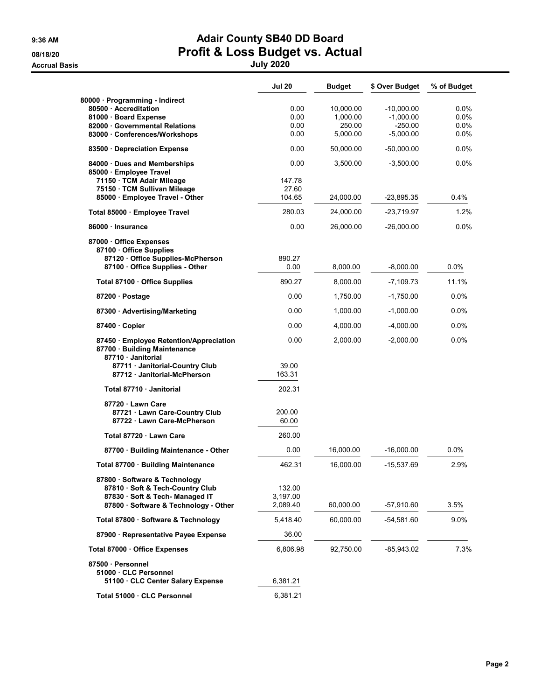Accrual Basis July 2020

## 9:36 AM **Adair County SB40 DD Board** 08/18/20 **Profit & Loss Budget vs. Actual**

|                                                                                             | <b>Jul 20</b>   | <b>Budget</b> | \$ Over Budget | % of Budget |
|---------------------------------------------------------------------------------------------|-----------------|---------------|----------------|-------------|
| 80000 · Programming - Indirect                                                              |                 |               |                |             |
| 80500 · Accreditation                                                                       | 0.00            | 10,000.00     | $-10,000.00$   | $0.0\%$     |
| 81000 · Board Expense                                                                       | 0.00            | 1,000.00      | $-1,000.00$    | $0.0\%$     |
| 82000 Governmental Relations                                                                | 0.00            | 250.00        | $-250.00$      | 0.0%        |
| 83000 Conferences/Workshops                                                                 | 0.00            | 5,000.00      | $-5,000.00$    | $0.0\%$     |
| 83500 · Depreciation Expense                                                                | 0.00            | 50,000.00     | -50,000.00     | $0.0\%$     |
| 84000 · Dues and Memberships<br>85000 · Employee Travel                                     | 0.00            | 3,500.00      | $-3,500.00$    | $0.0\%$     |
| 71150 · TCM Adair Mileage                                                                   | 147.78          |               |                |             |
| 75150 · TCM Sullivan Mileage                                                                | 27.60           |               |                |             |
| 85000 · Employee Travel - Other                                                             | 104.65          | 24,000.00     | -23,895.35     | 0.4%        |
| Total 85000 · Employee Travel                                                               | 280.03          | 24,000.00     | -23,719.97     | 1.2%        |
| 86000 · Insurance                                                                           | 0.00            | 26,000.00     | $-26,000.00$   | $0.0\%$     |
| 87000 Office Expenses<br>87100 Office Supplies                                              |                 |               |                |             |
| 87120 Office Supplies-McPherson                                                             | 890.27          |               |                |             |
| 87100 · Office Supplies - Other                                                             | 0.00            | 8,000.00      | $-8,000.00$    | $0.0\%$     |
| Total 87100 · Office Supplies                                                               | 890.27          | 8,000.00      | $-7,109.73$    | 11.1%       |
| 87200 · Postage                                                                             | 0.00            | 1,750.00      | $-1,750.00$    | $0.0\%$     |
| 87300 · Advertising/Marketing                                                               | 0.00            | 1,000.00      | $-1,000.00$    | $0.0\%$     |
| 87400 Copier                                                                                | 0.00            | 4,000.00      | $-4,000.00$    | $0.0\%$     |
| 87450 · Employee Retention/Appreciation<br>87700 · Building Maintenance<br>87710 Janitorial | 0.00            | 2,000.00      | $-2,000.00$    | 0.0%        |
| 87711 Janitorial-Country Club<br>87712 Janitorial-McPherson                                 | 39.00<br>163.31 |               |                |             |
| Total 87710 · Janitorial                                                                    | 202.31          |               |                |             |
| 87720 · Lawn Care                                                                           |                 |               |                |             |
| 87721 · Lawn Care-Country Club                                                              | 200.00          |               |                |             |
| 87722 Lawn Care-McPherson                                                                   | 60.00           |               |                |             |
| Total 87720 · Lawn Care                                                                     | 260.00          |               |                |             |
| 87700 · Building Maintenance - Other                                                        | 0.00            | 16,000.00     | $-16,000.00$   | 0.0%        |
| Total 87700 · Building Maintenance                                                          | 462.31          | 16,000.00     | $-15,537.69$   | 2.9%        |
| 87800 · Software & Technology                                                               |                 |               |                |             |
| 87810 · Soft & Tech-Country Club                                                            | 132.00          |               |                |             |
| 87830 · Soft & Tech- Managed IT                                                             | 3,197.00        |               |                |             |
| 87800 · Software & Technology - Other                                                       | 2,089.40        | 60,000.00     | -57,910.60     | 3.5%        |
| Total 87800 · Software & Technology                                                         | 5,418.40        | 60,000.00     | -54,581.60     | 9.0%        |
| 87900 · Representative Payee Expense                                                        | 36.00           |               |                |             |
| Total 87000 Office Expenses                                                                 | 6,806.98        | 92,750.00     | $-85,943.02$   | 7.3%        |
| 87500 · Personnel                                                                           |                 |               |                |             |
| 51000 CLC Personnel<br>51100 CLC Center Salary Expense                                      | 6,381.21        |               |                |             |
| Total 51000 CLC Personnel                                                                   | 6,381.21        |               |                |             |
|                                                                                             |                 |               |                |             |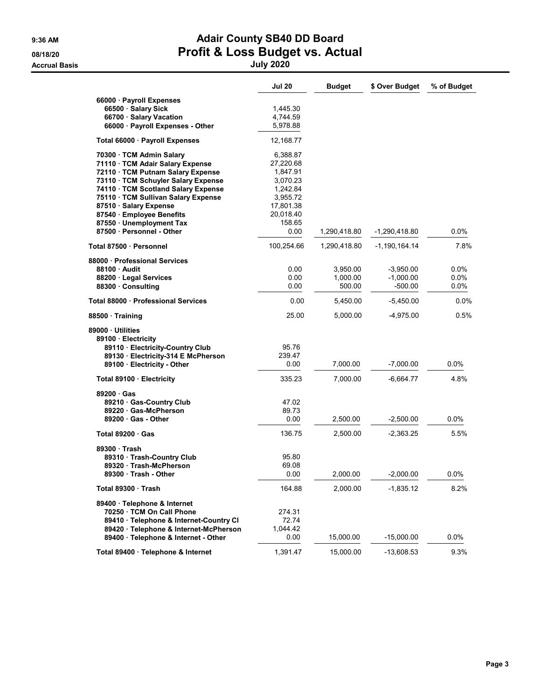# 9:36 AM **Adair County SB40 DD Board** 08/18/20 **Profit & Loss Budget vs. Actual**

Accrual Basis July 2020

| 66000 · Payroll Expenses<br>66500 · Salary Sick<br>1,445.30<br>4,744.59<br>66700 · Salary Vacation<br>66000 · Payroll Expenses - Other<br>5,978.88<br>12,168.77<br>Total 66000 · Payroll Expenses<br>6,388.87<br>70300 · TCM Admin Salary<br>71110 · TCM Adair Salary Expense<br>27,220.68<br>1,847.91<br>72110 · TCM Putnam Salary Expense<br>73110 · TCM Schuyler Salary Expense<br>3,070.23<br>74110 · TCM Scotland Salary Expense<br>1,242.84<br>75110 · TCM Sullivan Salary Expense<br>3,955.72<br>87510 · Salary Expense<br>17,801.38 | 0.0%<br>7.8% |
|---------------------------------------------------------------------------------------------------------------------------------------------------------------------------------------------------------------------------------------------------------------------------------------------------------------------------------------------------------------------------------------------------------------------------------------------------------------------------------------------------------------------------------------------|--------------|
|                                                                                                                                                                                                                                                                                                                                                                                                                                                                                                                                             |              |
|                                                                                                                                                                                                                                                                                                                                                                                                                                                                                                                                             |              |
|                                                                                                                                                                                                                                                                                                                                                                                                                                                                                                                                             |              |
|                                                                                                                                                                                                                                                                                                                                                                                                                                                                                                                                             |              |
|                                                                                                                                                                                                                                                                                                                                                                                                                                                                                                                                             |              |
|                                                                                                                                                                                                                                                                                                                                                                                                                                                                                                                                             |              |
|                                                                                                                                                                                                                                                                                                                                                                                                                                                                                                                                             |              |
|                                                                                                                                                                                                                                                                                                                                                                                                                                                                                                                                             |              |
|                                                                                                                                                                                                                                                                                                                                                                                                                                                                                                                                             |              |
|                                                                                                                                                                                                                                                                                                                                                                                                                                                                                                                                             |              |
|                                                                                                                                                                                                                                                                                                                                                                                                                                                                                                                                             |              |
|                                                                                                                                                                                                                                                                                                                                                                                                                                                                                                                                             |              |
|                                                                                                                                                                                                                                                                                                                                                                                                                                                                                                                                             |              |
| 87540 · Employee Benefits<br>20,018.40                                                                                                                                                                                                                                                                                                                                                                                                                                                                                                      |              |
| 87550 · Unemployment Tax<br>158.65                                                                                                                                                                                                                                                                                                                                                                                                                                                                                                          |              |
| 87500 · Personnel - Other<br>0.00<br>1,290,418.80<br>-1,290,418.80                                                                                                                                                                                                                                                                                                                                                                                                                                                                          |              |
| 100,254.66<br>1,290,418.80<br>-1,190,164.14<br>Total 87500 · Personnel                                                                                                                                                                                                                                                                                                                                                                                                                                                                      |              |
| 88000 · Professional Services                                                                                                                                                                                                                                                                                                                                                                                                                                                                                                               |              |
| 0.00<br>3,950.00<br>0.0%<br>88100 Audit<br>$-3,950.00$                                                                                                                                                                                                                                                                                                                                                                                                                                                                                      |              |
| 0.00<br>1,000.00<br>$-1,000.00$<br>88200 · Legal Services                                                                                                                                                                                                                                                                                                                                                                                                                                                                                   | $0.0\%$      |
| 0.00<br>500.00<br>$-500.00$<br>88300 · Consulting                                                                                                                                                                                                                                                                                                                                                                                                                                                                                           | $0.0\%$      |
| Total 88000 · Professional Services<br>0.00<br>5,450.00<br>$-5,450.00$                                                                                                                                                                                                                                                                                                                                                                                                                                                                      | 0.0%         |
| 25.00<br>$-4,975.00$<br>5,000.00<br>88500 Training                                                                                                                                                                                                                                                                                                                                                                                                                                                                                          | 0.5%         |
| 89000 · Utilities                                                                                                                                                                                                                                                                                                                                                                                                                                                                                                                           |              |
| 89100 · Electricity                                                                                                                                                                                                                                                                                                                                                                                                                                                                                                                         |              |
| 89110 · Electricity-Country Club<br>95.76                                                                                                                                                                                                                                                                                                                                                                                                                                                                                                   |              |
| 89130 · Electricity-314 E McPherson<br>239.47                                                                                                                                                                                                                                                                                                                                                                                                                                                                                               |              |
| 89100 · Electricity - Other<br>0.00<br>7,000.00<br>-7,000.00<br>0.0%                                                                                                                                                                                                                                                                                                                                                                                                                                                                        |              |
| 335.23<br>4.8%<br>7,000.00<br>-6,664.77<br>Total 89100 · Electricity                                                                                                                                                                                                                                                                                                                                                                                                                                                                        |              |
| 89200 · Gas                                                                                                                                                                                                                                                                                                                                                                                                                                                                                                                                 |              |
| 89210 Gas-Country Club<br>47.02                                                                                                                                                                                                                                                                                                                                                                                                                                                                                                             |              |
| 89220 Gas-McPherson<br>89.73                                                                                                                                                                                                                                                                                                                                                                                                                                                                                                                |              |
| $-2,500.00$<br>$0.0\%$<br>$89200 \cdot Gas$ - Other<br>0.00<br>2,500.00                                                                                                                                                                                                                                                                                                                                                                                                                                                                     |              |
| 136.75<br>$-2,363.25$<br>5.5%<br>Total 89200 Gas<br>2,500.00                                                                                                                                                                                                                                                                                                                                                                                                                                                                                |              |
| 89300 · Trash                                                                                                                                                                                                                                                                                                                                                                                                                                                                                                                               |              |
| 89310 Trash-Country Club<br>95.80                                                                                                                                                                                                                                                                                                                                                                                                                                                                                                           |              |
| 89320 Trash-McPherson<br>69.08                                                                                                                                                                                                                                                                                                                                                                                                                                                                                                              |              |
| $0.0\%$<br>89300 Trash - Other<br>0.00<br>2.000.00<br>-2,000.00                                                                                                                                                                                                                                                                                                                                                                                                                                                                             |              |
|                                                                                                                                                                                                                                                                                                                                                                                                                                                                                                                                             |              |
| 164.88<br>2,000.00<br>$-1,835.12$<br>8.2%<br>Total 89300 · Trash                                                                                                                                                                                                                                                                                                                                                                                                                                                                            |              |
| 89400 · Telephone & Internet                                                                                                                                                                                                                                                                                                                                                                                                                                                                                                                |              |
| 70250 TCM On Call Phone<br>274.31                                                                                                                                                                                                                                                                                                                                                                                                                                                                                                           |              |
| 89410 · Telephone & Internet-Country CI<br>72.74                                                                                                                                                                                                                                                                                                                                                                                                                                                                                            |              |
| 89420 · Telephone & Internet-McPherson<br>1,044.42                                                                                                                                                                                                                                                                                                                                                                                                                                                                                          |              |
| 89400 · Telephone & Internet - Other<br>0.00<br>15,000.00<br>$-15,000.00$<br>0.0%                                                                                                                                                                                                                                                                                                                                                                                                                                                           |              |
| 1,391.47<br>15,000.00<br>9.3%<br>Total 89400 · Telephone & Internet<br>-13,608.53                                                                                                                                                                                                                                                                                                                                                                                                                                                           |              |